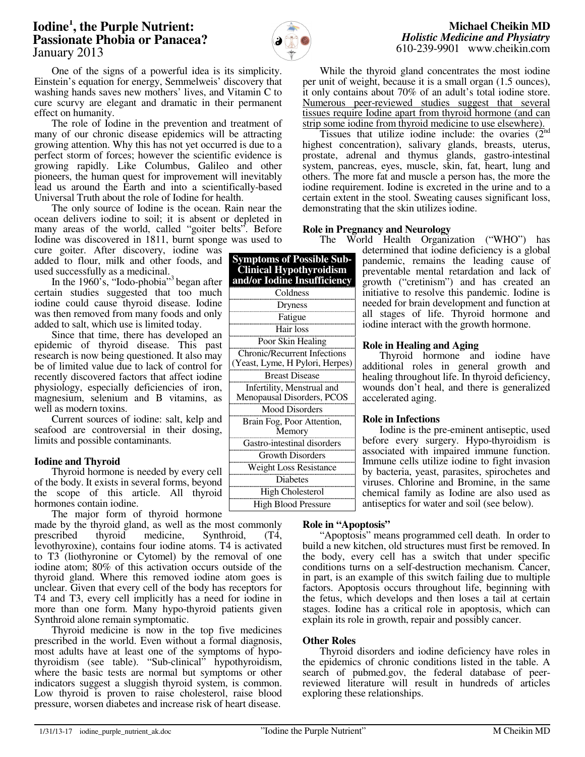# **Iodine<sup>1</sup> , the Purple Nutrient: Passionate Phobia or Panacea?**  January 2013



**Symptoms of Possible Sub-Clinical Hypothyroidism and/or Iodine Insufficiency** Coldness Dryness Fatigue Hair loss Poor Skin Healing Chronic/Recurrent Infections (Yeast, Lyme, H Pylori, Herpes) Breast Disease Infertility, Menstrual and Menopausal Disorders, PCOS Mood Disorders Brain Fog, Poor Attention, **Memory** Gastro-intestinal disorders Growth Disorders Weight Loss Resistance Diabetes High Cholesterol High Blood Pressure

One of the signs of a powerful idea is its simplicity. Einstein's equation for energy, Semmelweis' discovery that washing hands saves new mothers' lives, and Vitamin C to cure scurvy are elegant and dramatic in their permanent effect on humanity.

 The role of Iodine in the prevention and treatment of many of our chronic disease epidemics will be attracting growing attention. Why this has not yet occurred is due to a perfect storm of forces; however the scientific evidence is growing rapidly. Like Columbus, Galileo and other pioneers, the human quest for improvement will inevitably lead us around the Earth and into a scientifically-based Universal Truth about the role of Iodine for health.

 The only source of Iodine is the ocean. Rain near the ocean delivers iodine to soil; it is absent or depleted in many areas of the world, called "goiter belts". Before Iodine was discovered in 1811, burnt sponge was used to

cure goiter. After discovery, iodine was added to flour, milk and other foods, and used successfully as a medicinal.

In the 1960's, "Iodo-phobia"<sup>3</sup> began after certain studies suggested that too much iodine could cause thyroid disease. Iodine was then removed from many foods and only added to salt, which use is limited today.

 Since that time, there has developed an epidemic of thyroid disease. This past research is now being questioned. It also may be of limited value due to lack of control for recently discovered factors that affect iodine physiology, especially deficiencies of iron, magnesium, selenium and B vitamins, as well as modern toxins.

 Current sources of iodine: salt, kelp and seafood are controversial in their dosing, limits and possible contaminants.

## **Iodine and Thyroid**

 Thyroid hormone is needed by every cell of the body. It exists in several forms, beyond the scope of this article. All thyroid hormones contain iodine.

The major form of thyroid hormone

made by the thyroid gland, as well as the most commonly<br>prescribed thyroid medicine, Synthroid, (T4, Synthroid,  $(T4,$ levothyroxine), contains four iodine atoms. T4 is activated to T3 (liothyronine or Cytomel) by the removal of one iodine atom; 80% of this activation occurs outside of the thyroid gland. Where this removed iodine atom goes is unclear. Given that every cell of the body has receptors for T4 and T3, every cell implicitly has a need for iodine in more than one form. Many hypo-thyroid patients given Synthroid alone remain symptomatic.

 Thyroid medicine is now in the top five medicines prescribed in the world. Even without a formal diagnosis, most adults have at least one of the symptoms of hypothyroidism (see table). "Sub-clinical" hypothyroidism, where the basic tests are normal but symptoms or other indicators suggest a sluggish thyroid system, is common. Low thyroid is proven to raise cholesterol, raise blood pressure, worsen diabetes and increase risk of heart disease.

 While the thyroid gland concentrates the most iodine per unit of weight, because it is a small organ (1.5 ounces), it only contains about 70% of an adult's total iodine store. Numerous peer-reviewed studies suggest that several tissues require Iodine apart from thyroid hormone (and can strip some iodine from thyroid medicine to use elsewhere).

Tissues that utilize iodine include: the ovaries  $(2<sup>nd</sup>)$ highest concentration), salivary glands, breasts, uterus, prostate, adrenal and thymus glands, gastro-intestinal system, pancreas, eyes, muscle, skin, fat, heart, lung and others. The more fat and muscle a person has, the more the iodine requirement. Iodine is excreted in the urine and to a certain extent in the stool. Sweating causes significant loss, demonstrating that the skin utilizes iodine.

## **Role in Pregnancy and Neurology**

 The World Health Organization ("WHO") has determined that iodine deficiency is a global pandemic, remains the leading cause of preventable mental retardation and lack of growth ("cretinism") and has created an initiative to resolve this pandemic. Iodine is needed for brain development and function at all stages of life. Thyroid hormone and iodine interact with the growth hormone.

#### **Role in Healing and Aging**

 Thyroid hormone and iodine have additional roles in general growth and healing throughout life. In thyroid deficiency, wounds don't heal, and there is generalized accelerated aging.

## **Role in Infections**

Iodine is the pre-eminent antiseptic, used before every surgery. Hypo-thyroidism is associated with impaired immune function. Immune cells utilize iodine to fight invasion by bacteria, yeast, parasites, spirochetes and viruses. Chlorine and Bromine, in the same chemical family as Iodine are also used as antiseptics for water and soil (see below).

## **Role in "Apoptosis"**

 "Apoptosis" means programmed cell death. In order to build a new kitchen, old structures must first be removed. In the body, every cell has a switch that under specific conditions turns on a self-destruction mechanism. Cancer, in part, is an example of this switch failing due to multiple factors. Apoptosis occurs throughout life, beginning with the fetus, which develops and then loses a tail at certain stages. Iodine has a critical role in apoptosis, which can explain its role in growth, repair and possibly cancer.

## **Other Roles**

 Thyroid disorders and iodine deficiency have roles in the epidemics of chronic conditions listed in the table. A search of pubmed.gov, the federal database of peerreviewed literature will result in hundreds of articles exploring these relationships.